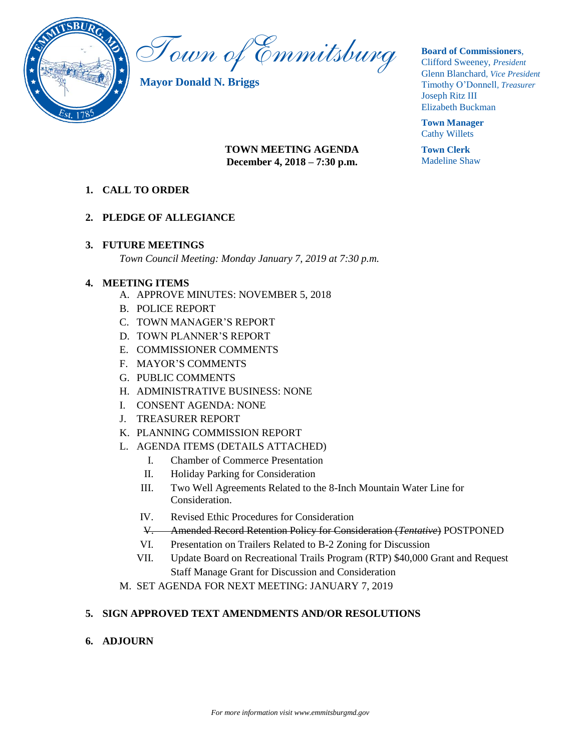

Town of Emmitsburg

**Mayor Donald N. Briggs**

#### **Board of Commissioners**,

Clifford Sweeney, *President* Glenn Blanchard*, Vice President* Timothy O'Donnell*, Treasurer*  Joseph Ritz III Elizabeth Buckman

**Town Manager** Cathy Willets

**Town Clerk** Madeline Shaw

# **TOWN MEETING AGENDA December 4, 2018 – 7:30 p.m.**

**1. CALL TO ORDER**

# **2. PLEDGE OF ALLEGIANCE**

# **3. FUTURE MEETINGS**

*Town Council Meeting: Monday January 7, 2019 at 7:30 p.m.*

# **4. MEETING ITEMS**

- A. APPROVE MINUTES: NOVEMBER 5, 2018
- B. POLICE REPORT
- C. TOWN MANAGER'S REPORT
- D. TOWN PLANNER'S REPORT
- E. COMMISSIONER COMMENTS
- F. MAYOR'S COMMENTS
- G. PUBLIC COMMENTS
- H. ADMINISTRATIVE BUSINESS: NONE
- I. CONSENT AGENDA: NONE
- J. TREASURER REPORT
- K. PLANNING COMMISSION REPORT
- L. AGENDA ITEMS (DETAILS ATTACHED)
	- I. Chamber of Commerce Presentation
	- II. Holiday Parking for Consideration
	- III. Two Well Agreements Related to the 8-Inch Mountain Water Line for Consideration.
	- IV. Revised Ethic Procedures for Consideration
	- V. Amended Record Retention Policy for Consideration (*Tentative*) POSTPONED
	- VI. Presentation on Trailers Related to B-2 Zoning for Discussion
	- VII. Update Board on Recreational Trails Program (RTP) \$40,000 Grant and Request Staff Manage Grant for Discussion and Consideration
- M. SET AGENDA FOR NEXT MEETING: JANUARY 7, 2019

# **5. SIGN APPROVED TEXT AMENDMENTS AND/OR RESOLUTIONS**

# **6. ADJOURN**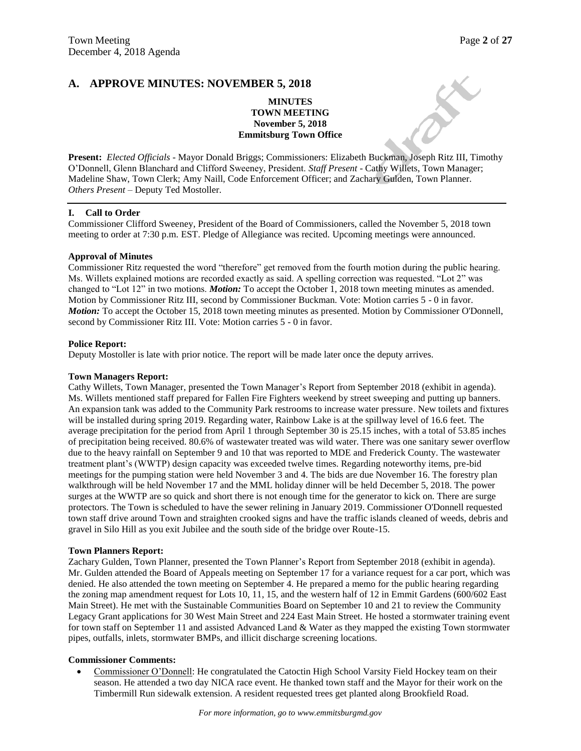## **A. APPROVE MINUTES: NOVEMBER 5, 2018**

#### **MINUTES TOWN MEETING November 5, 2018 Emmitsburg Town Office**

**Present:** *Elected Officials* - Mayor Donald Briggs; Commissioners: Elizabeth Buckman, Joseph Ritz III, Timothy O'Donnell, Glenn Blanchard and Clifford Sweeney, President. *Staff Present* - Cathy Willets, Town Manager; Madeline Shaw, Town Clerk; Amy Naill, Code Enforcement Officer; and Zachary Gulden, Town Planner. *Others Present* – Deputy Ted Mostoller.

#### **I. Call to Order**

Commissioner Clifford Sweeney, President of the Board of Commissioners, called the November 5, 2018 town meeting to order at 7:30 p.m. EST. Pledge of Allegiance was recited. Upcoming meetings were announced.

#### **Approval of Minutes**

Commissioner Ritz requested the word "therefore" get removed from the fourth motion during the public hearing. Ms. Willets explained motions are recorded exactly as said. A spelling correction was requested. "Lot 2" was changed to "Lot 12" in two motions. *Motion:* To accept the October 1, 2018 town meeting minutes as amended. Motion by Commissioner Ritz III, second by Commissioner Buckman. Vote: Motion carries 5 - 0 in favor. *Motion:* To accept the October 15, 2018 town meeting minutes as presented. Motion by Commissioner O'Donnell, second by Commissioner Ritz III. Vote: Motion carries 5 - 0 in favor.

#### **Police Report:**

Deputy Mostoller is late with prior notice. The report will be made later once the deputy arrives.

#### **Town Managers Report:**

Cathy Willets, Town Manager, presented the Town Manager's Report from September 2018 (exhibit in agenda). Ms. Willets mentioned staff prepared for Fallen Fire Fighters weekend by street sweeping and putting up banners. An expansion tank was added to the Community Park restrooms to increase water pressure. New toilets and fixtures will be installed during spring 2019. Regarding water, Rainbow Lake is at the spillway level of 16.6 feet. The average precipitation for the period from April 1 through September 30 is 25.15 inches, with a total of 53.85 inches of precipitation being received. 80.6% of wastewater treated was wild water. There was one sanitary sewer overflow due to the heavy rainfall on September 9 and 10 that was reported to MDE and Frederick County. The wastewater treatment plant's (WWTP) design capacity was exceeded twelve times. Regarding noteworthy items, pre-bid meetings for the pumping station were held November 3 and 4. The bids are due November 16. The forestry plan walkthrough will be held November 17 and the MML holiday dinner will be held December 5, 2018. The power surges at the WWTP are so quick and short there is not enough time for the generator to kick on. There are surge protectors. The Town is scheduled to have the sewer relining in January 2019. Commissioner O'Donnell requested town staff drive around Town and straighten crooked signs and have the traffic islands cleaned of weeds, debris and gravel in Silo Hill as you exit Jubilee and the south side of the bridge over Route-15.

#### **Town Planners Report:**

Zachary Gulden, Town Planner, presented the Town Planner's Report from September 2018 (exhibit in agenda). Mr. Gulden attended the Board of Appeals meeting on September 17 for a variance request for a car port, which was denied. He also attended the town meeting on September 4. He prepared a memo for the public hearing regarding the zoning map amendment request for Lots 10, 11, 15, and the western half of 12 in Emmit Gardens (600/602 East Main Street). He met with the Sustainable Communities Board on September 10 and 21 to review the Community Legacy Grant applications for 30 West Main Street and 224 East Main Street. He hosted a stormwater training event for town staff on September 11 and assisted Advanced Land & Water as they mapped the existing Town stormwater pipes, outfalls, inlets, stormwater BMPs, and illicit discharge screening locations.

#### **Commissioner Comments:**

 Commissioner O'Donnell: He congratulated the Catoctin High School Varsity Field Hockey team on their season. He attended a two day NICA race event. He thanked town staff and the Mayor for their work on the Timbermill Run sidewalk extension. A resident requested trees get planted along Brookfield Road.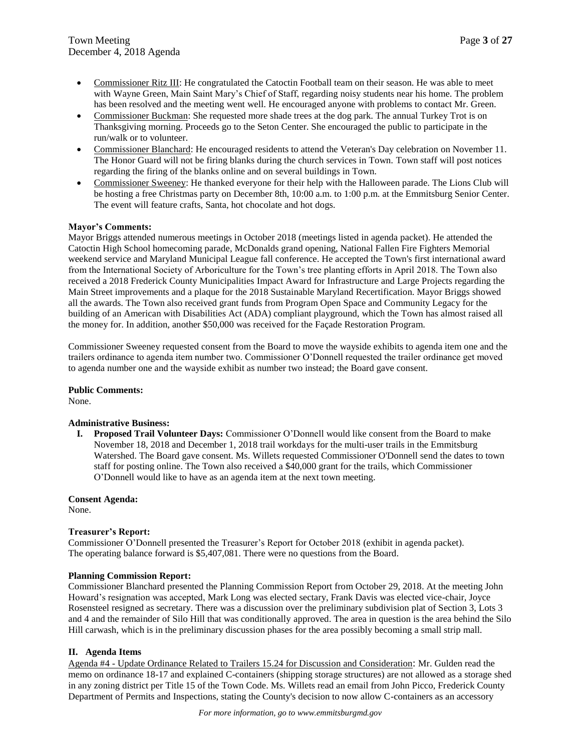- Commissioner Ritz III: He congratulated the Catoctin Football team on their season. He was able to meet with Wayne Green, Main Saint Mary's Chief of Staff, regarding noisy students near his home. The problem has been resolved and the meeting went well. He encouraged anyone with problems to contact Mr. Green.
- Commissioner Buckman: She requested more shade trees at the dog park. The annual Turkey Trot is on Thanksgiving morning. Proceeds go to the Seton Center. She encouraged the public to participate in the run/walk or to volunteer.
- Commissioner Blanchard: He encouraged residents to attend the Veteran's Day celebration on November 11. The Honor Guard will not be firing blanks during the church services in Town. Town staff will post notices regarding the firing of the blanks online and on several buildings in Town.
- Commissioner Sweeney: He thanked everyone for their help with the Halloween parade. The Lions Club will be hosting a free Christmas party on December 8th, 10:00 a.m. to 1:00 p.m. at the Emmitsburg Senior Center. The event will feature crafts, Santa, hot chocolate and hot dogs.

#### **Mayor's Comments:**

Mayor Briggs attended numerous meetings in October 2018 (meetings listed in agenda packet). He attended the Catoctin High School homecoming parade, McDonalds grand opening, National Fallen Fire Fighters Memorial weekend service and Maryland Municipal League fall conference. He accepted the Town's first international award from the International Society of Arboriculture for the Town's tree planting efforts in April 2018. The Town also received a 2018 Frederick County Municipalities Impact Award for Infrastructure and Large Projects regarding the Main Street improvements and a plaque for the 2018 Sustainable Maryland Recertification. Mayor Briggs showed all the awards. The Town also received grant funds from Program Open Space and Community Legacy for the building of an American with Disabilities Act (ADA) compliant playground, which the Town has almost raised all the money for. In addition, another \$50,000 was received for the Façade Restoration Program.

Commissioner Sweeney requested consent from the Board to move the wayside exhibits to agenda item one and the trailers ordinance to agenda item number two. Commissioner O'Donnell requested the trailer ordinance get moved to agenda number one and the wayside exhibit as number two instead; the Board gave consent.

**Public Comments:** None.

#### **Administrative Business:**

**I. Proposed Trail Volunteer Days:** Commissioner O'Donnell would like consent from the Board to make November 18, 2018 and December 1, 2018 trail workdays for the multi-user trails in the Emmitsburg Watershed. The Board gave consent. Ms. Willets requested Commissioner O'Donnell send the dates to town staff for posting online. The Town also received a \$40,000 grant for the trails, which Commissioner O'Donnell would like to have as an agenda item at the next town meeting.

**Consent Agenda:** None.

#### **Treasurer's Report:**

Commissioner O'Donnell presented the Treasurer's Report for October 2018 (exhibit in agenda packet). The operating balance forward is \$5,407,081. There were no questions from the Board.

#### **Planning Commission Report:**

Commissioner Blanchard presented the Planning Commission Report from October 29, 2018. At the meeting John Howard's resignation was accepted, Mark Long was elected sectary, Frank Davis was elected vice-chair, Joyce Rosensteel resigned as secretary. There was a discussion over the preliminary subdivision plat of Section 3, Lots 3 and 4 and the remainder of Silo Hill that was conditionally approved. The area in question is the area behind the Silo Hill carwash, which is in the preliminary discussion phases for the area possibly becoming a small strip mall.

## **II. Agenda Items**

Agenda #4 - Update Ordinance Related to Trailers 15.24 for Discussion and Consideration: Mr. Gulden read the memo on ordinance 18-17 and explained C-containers (shipping storage structures) are not allowed as a storage shed in any zoning district per Title 15 of the Town Code. Ms. Willets read an email from John Picco, Frederick County Department of Permits and Inspections, stating the County's decision to now allow C-containers as an accessory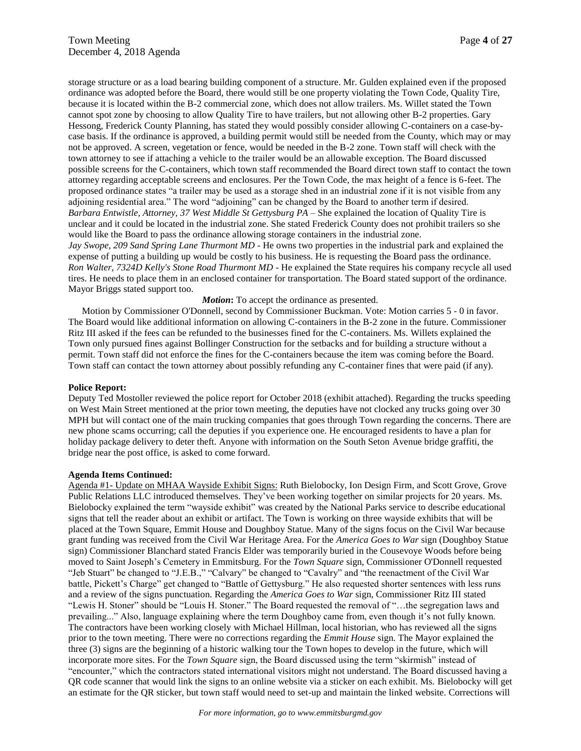storage structure or as a load bearing building component of a structure. Mr. Gulden explained even if the proposed ordinance was adopted before the Board, there would still be one property violating the Town Code, Quality Tire, because it is located within the B-2 commercial zone, which does not allow trailers. Ms. Willet stated the Town cannot spot zone by choosing to allow Quality Tire to have trailers, but not allowing other B-2 properties. Gary Hessong, Frederick County Planning, has stated they would possibly consider allowing C-containers on a case-bycase basis. If the ordinance is approved, a building permit would still be needed from the County, which may or may not be approved. A screen, vegetation or fence, would be needed in the B-2 zone. Town staff will check with the town attorney to see if attaching a vehicle to the trailer would be an allowable exception. The Board discussed possible screens for the C-containers, which town staff recommended the Board direct town staff to contact the town attorney regarding acceptable screens and enclosures. Per the Town Code, the max height of a fence is 6-feet. The proposed ordinance states "a trailer may be used as a storage shed in an industrial zone if it is not visible from any adjoining residential area." The word "adjoining" can be changed by the Board to another term if desired. *Barbara Entwistle, Attorney, 37 West Middle St Gettysburg PA* – She explained the location of Quality Tire is unclear and it could be located in the industrial zone. She stated Frederick County does not prohibit trailers so she would like the Board to pass the ordinance allowing storage containers in the industrial zone. *Jay Swope, 209 Sand Spring Lane Thurmont MD* - He owns two properties in the industrial park and explained the expense of putting a building up would be costly to his business. He is requesting the Board pass the ordinance. *Ron Walter, 7324D Kelly's Stone Road Thurmont MD - He explained the State requires his company recycle all used* 

tires. He needs to place them in an enclosed container for transportation. The Board stated support of the ordinance. Mayor Briggs stated support too.

#### *Motion*: To accept the ordinance as presented.

Motion by Commissioner O'Donnell, second by Commissioner Buckman. Vote: Motion carries 5 - 0 in favor. The Board would like additional information on allowing C-containers in the B-2 zone in the future. Commissioner Ritz III asked if the fees can be refunded to the businesses fined for the C-containers. Ms. Willets explained the Town only pursued fines against Bollinger Construction for the setbacks and for building a structure without a permit. Town staff did not enforce the fines for the C-containers because the item was coming before the Board. Town staff can contact the town attorney about possibly refunding any C-container fines that were paid (if any).

#### **Police Report:**

Deputy Ted Mostoller reviewed the police report for October 2018 (exhibit attached). Regarding the trucks speeding on West Main Street mentioned at the prior town meeting, the deputies have not clocked any trucks going over 30 MPH but will contact one of the main trucking companies that goes through Town regarding the concerns. There are new phone scams occurring; call the deputies if you experience one. He encouraged residents to have a plan for holiday package delivery to deter theft. Anyone with information on the South Seton Avenue bridge graffiti, the bridge near the post office, is asked to come forward.

#### **Agenda Items Continued:**

Agenda #1- Update on MHAA Wayside Exhibit Signs: Ruth Bielobocky, Ion Design Firm, and Scott Grove, Grove Public Relations LLC introduced themselves. They've been working together on similar projects for 20 years. Ms. Bielobocky explained the term "wayside exhibit" was created by the National Parks service to describe educational signs that tell the reader about an exhibit or artifact. The Town is working on three wayside exhibits that will be placed at the Town Square, Emmit House and Doughboy Statue. Many of the signs focus on the Civil War because grant funding was received from the Civil War Heritage Area. For the *America Goes to War* sign (Doughboy Statue sign) Commissioner Blanchard stated Francis Elder was temporarily buried in the Cousevoye Woods before being moved to Saint Joseph's Cemetery in Emmitsburg. For the *Town Square* sign, Commissioner O'Donnell requested "Jeb Stuart" be changed to "J.E.B.," "Calvary" be changed to "Cavalry" and "the reenactment of the Civil War battle, Pickett's Charge" get changed to "Battle of Gettysburg." He also requested shorter sentences with less runs and a review of the signs punctuation. Regarding the *America Goes to War* sign, Commissioner Ritz III stated "Lewis H. Stoner" should be "Louis H. Stoner." The Board requested the removal of "…the segregation laws and prevailing..." Also, language explaining where the term Doughboy came from, even though it's not fully known. The contractors have been working closely with Michael Hillman, local historian, who has reviewed all the signs prior to the town meeting. There were no corrections regarding the *Emmit House* sign. The Mayor explained the three (3) signs are the beginning of a historic walking tour the Town hopes to develop in the future, which will incorporate more sites. For the *Town Square* sign, the Board discussed using the term "skirmish" instead of "encounter," which the contractors stated international visitors might not understand. The Board discussed having a QR code scanner that would link the signs to an online website via a sticker on each exhibit. Ms. Bielobocky will get an estimate for the QR sticker, but town staff would need to set-up and maintain the linked website. Corrections will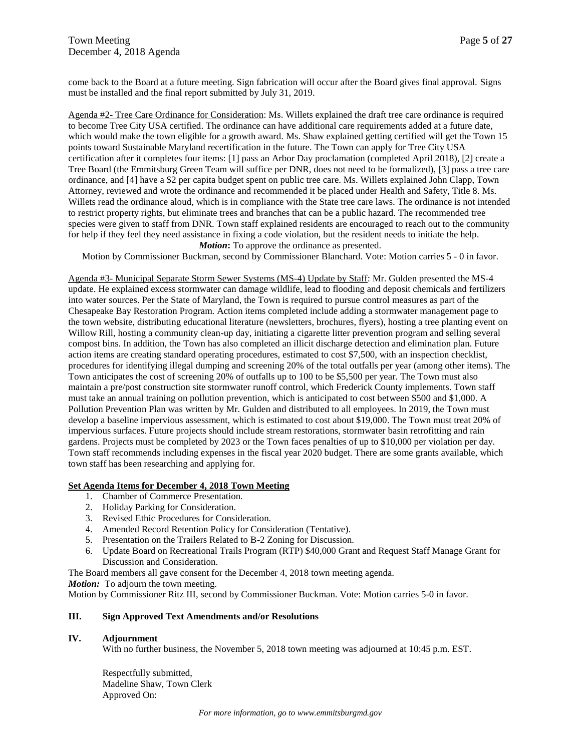come back to the Board at a future meeting. Sign fabrication will occur after the Board gives final approval. Signs must be installed and the final report submitted by July 31, 2019.

Agenda #2- Tree Care Ordinance for Consideration: Ms. Willets explained the draft tree care ordinance is required to become Tree City USA certified. The ordinance can have additional care requirements added at a future date, which would make the town eligible for a growth award. Ms. Shaw explained getting certified will get the Town 15 points toward Sustainable Maryland recertification in the future. The Town can apply for Tree City USA certification after it completes four items: [1] pass an Arbor Day proclamation (completed April 2018), [2] create a Tree Board (the Emmitsburg Green Team will suffice per DNR, does not need to be formalized), [3] pass a tree care ordinance, and [4] have a \$2 per capita budget spent on public tree care. Ms. Willets explained John Clapp, Town Attorney, reviewed and wrote the ordinance and recommended it be placed under Health and Safety, Title 8. Ms. Willets read the ordinance aloud, which is in compliance with the State tree care laws. The ordinance is not intended to restrict property rights, but eliminate trees and branches that can be a public hazard. The recommended tree species were given to staff from DNR. Town staff explained residents are encouraged to reach out to the community for help if they feel they need assistance in fixing a code violation, but the resident needs to initiate the help. *Motion*: To approve the ordinance as presented.

Motion by Commissioner Buckman, second by Commissioner Blanchard. Vote: Motion carries 5 - 0 in favor.

Agenda #3- Municipal Separate Storm Sewer Systems (MS-4) Update by Staff: Mr. Gulden presented the MS-4 update. He explained excess stormwater can damage wildlife, lead to flooding and deposit chemicals and fertilizers into water sources. Per the State of Maryland, the Town is required to pursue control measures as part of the Chesapeake Bay Restoration Program. Action items completed include adding a stormwater management page to the town website, distributing educational literature (newsletters, brochures, flyers), hosting a tree planting event on Willow Rill, hosting a community clean-up day, initiating a cigarette litter prevention program and selling several compost bins. In addition, the Town has also completed an illicit discharge detection and elimination plan. Future action items are creating standard operating procedures, estimated to cost \$7,500, with an inspection checklist, procedures for identifying illegal dumping and screening 20% of the total outfalls per year (among other items). The Town anticipates the cost of screening 20% of outfalls up to 100 to be \$5,500 per year. The Town must also maintain a pre/post construction site stormwater runoff control, which Frederick County implements. Town staff must take an annual training on pollution prevention, which is anticipated to cost between \$500 and \$1,000. A Pollution Prevention Plan was written by Mr. Gulden and distributed to all employees. In 2019, the Town must develop a baseline impervious assessment, which is estimated to cost about \$19,000. The Town must treat 20% of impervious surfaces. Future projects should include stream restorations, stormwater basin retrofitting and rain gardens. Projects must be completed by 2023 or the Town faces penalties of up to \$10,000 per violation per day. Town staff recommends including expenses in the fiscal year 2020 budget. There are some grants available, which town staff has been researching and applying for.

#### **Set Agenda Items for December 4, 2018 Town Meeting**

- 1. Chamber of Commerce Presentation.
- 2. Holiday Parking for Consideration.
- 3. Revised Ethic Procedures for Consideration.
- 4. Amended Record Retention Policy for Consideration (Tentative).
- 5. Presentation on the Trailers Related to B-2 Zoning for Discussion.
- 6. Update Board on Recreational Trails Program (RTP) \$40,000 Grant and Request Staff Manage Grant for Discussion and Consideration.

The Board members all gave consent for the December 4, 2018 town meeting agenda.

*Motion:* To adjourn the town meeting.

Motion by Commissioner Ritz III, second by Commissioner Buckman. Vote: Motion carries 5-0 in favor.

#### **III. Sign Approved Text Amendments and/or Resolutions**

#### **IV. Adjournment**

With no further business, the November 5, 2018 town meeting was adjourned at 10:45 p.m. EST.

Respectfully submitted, Madeline Shaw, Town Clerk Approved On: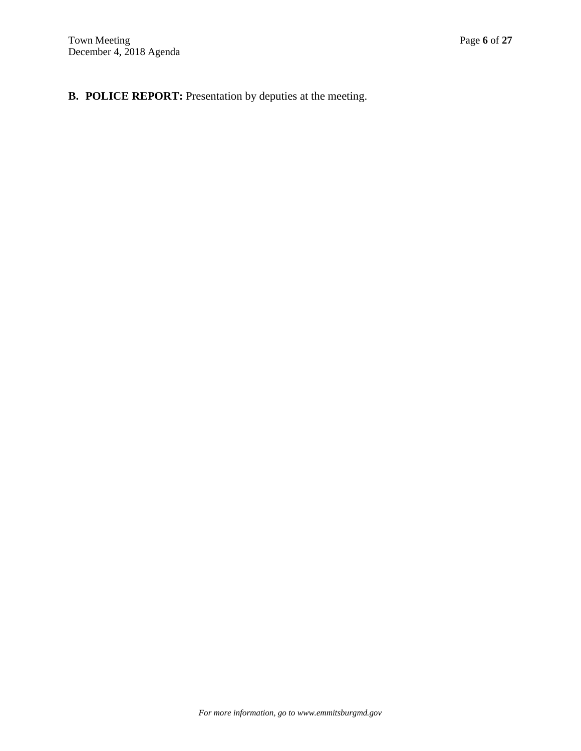**B. POLICE REPORT:** Presentation by deputies at the meeting.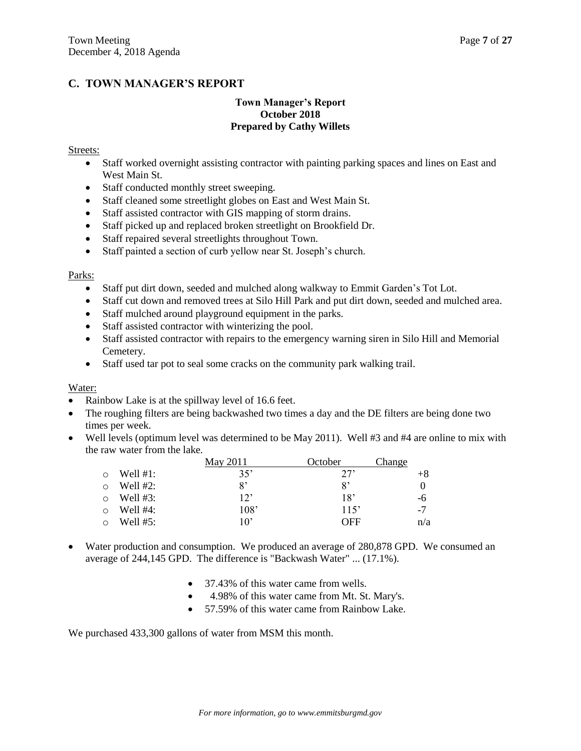# **C. TOWN MANAGER'S REPORT**

## **Town Manager's Report October 2018 Prepared by Cathy Willets**

#### Streets:

- Staff worked overnight assisting contractor with painting parking spaces and lines on East and West Main St.
- Staff conducted monthly street sweeping.
- Staff cleaned some streetlight globes on East and West Main St.
- Staff assisted contractor with GIS mapping of storm drains.
- Staff picked up and replaced broken streetlight on Brookfield Dr.
- Staff repaired several streetlights throughout Town.
- Staff painted a section of curb yellow near St. Joseph's church.

#### Parks:

- Staff put dirt down, seeded and mulched along walkway to Emmit Garden's Tot Lot.
- Staff cut down and removed trees at Silo Hill Park and put dirt down, seeded and mulched area.
- Staff mulched around playground equipment in the parks.
- Staff assisted contractor with winterizing the pool.
- Staff assisted contractor with repairs to the emergency warning siren in Silo Hill and Memorial Cemetery.
- Staff used tar pot to seal some cracks on the community park walking trail.

### Water:

- Rainbow Lake is at the spillway level of 16.6 feet.
- The roughing filters are being backwashed two times a day and the DE filters are being done two times per week.
- Well levels (optimum level was determined to be May 2011). Well #3 and #4 are online to mix with the raw water from the lake.

|         |             | May 2011     | October | Change |
|---------|-------------|--------------|---------|--------|
| $\circ$ | Well $#1$ : | 35'          | 27'     | $+8$   |
| ∩       | Well $#2$ : | 8'           | 8'      |        |
| $\circ$ | Well $#3:$  | $12^{\circ}$ | 18'     | -6     |
| $\circ$ | Well $#4$ : | 108'         | 115'    | $-7$   |
| $\circ$ | Well $#5:$  | $10^{\circ}$ | OFF     | n/a    |

- Water production and consumption. We produced an average of 280,878 GPD. We consumed an average of 244,145 GPD. The difference is "Backwash Water" ... (17.1%).
	- 37.43% of this water came from wells.
	- 4.98% of this water came from Mt. St. Mary's.
	- 57.59% of this water came from Rainbow Lake.

We purchased  $433,300$  gallons of water from MSM this month.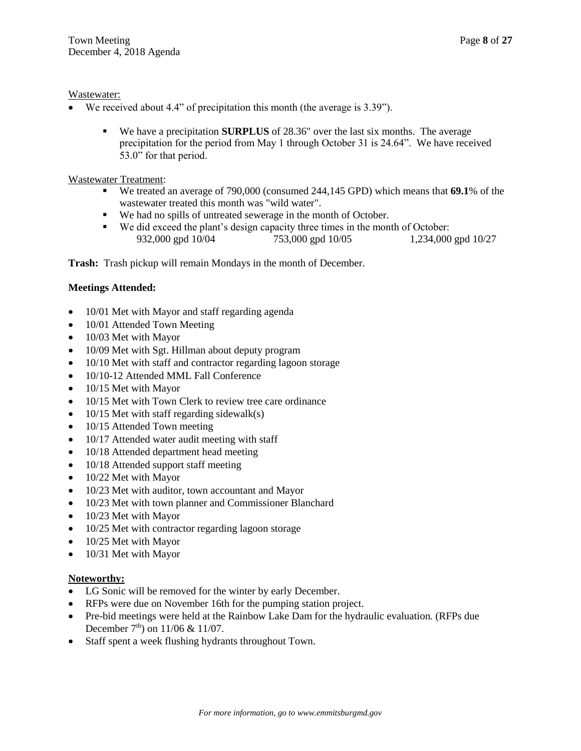## Wastewater:

- We received about 4.4" of precipitation this month (the average is 3.39").
	- We have a precipitation **SURPLUS** of 28.36" over the last six months. The average precipitation for the period from May 1 through October 31 is 24.64". We have received 53.0" for that period.

## Wastewater Treatment:

- We treated an average of 790,000 (consumed 244,145 GPD) which means that **69.1**% of the wastewater treated this month was "wild water".
- We had no spills of untreated sewerage in the month of October.
- We did exceed the plant's design capacity three times in the month of October: 932,000 gpd 10/04 753,000 gpd 10/05 1,234,000 gpd 10/27

**Trash:** Trash pickup will remain Mondays in the month of December.

## **Meetings Attended:**

- 10/01 Met with Mayor and staff regarding agenda
- 10/01 Attended Town Meeting
- 10/03 Met with Mayor
- 10/09 Met with Sgt. Hillman about deputy program
- 10/10 Met with staff and contractor regarding lagoon storage
- 10/10-12 Attended MML Fall Conference
- 10/15 Met with Mayor
- 10/15 Met with Town Clerk to review tree care ordinance
- $\bullet$  10/15 Met with staff regarding sidewalk(s)
- 10/15 Attended Town meeting
- 10/17 Attended water audit meeting with staff
- 10/18 Attended department head meeting
- 10/18 Attended support staff meeting
- 10/22 Met with Mayor
- 10/23 Met with auditor, town accountant and Mayor
- 10/23 Met with town planner and Commissioner Blanchard
- 10/23 Met with Mayor
- 10/25 Met with contractor regarding lagoon storage
- 10/25 Met with Mayor
- 10/31 Met with Mayor

## **Noteworthy:**

- LG Sonic will be removed for the winter by early December.
- RFPs were due on November 16th for the pumping station project.
- Pre-bid meetings were held at the Rainbow Lake Dam for the hydraulic evaluation. (RFPs due December  $7<sup>th</sup>$ ) on  $11/06 \& 11/07$ .
- Staff spent a week flushing hydrants throughout Town.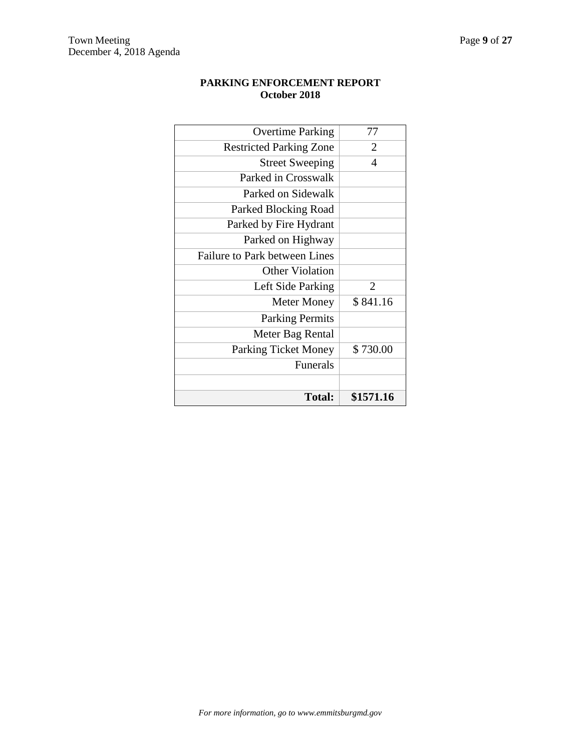# **PARKING ENFORCEMENT REPORT October 2018**

| <b>Total:</b>                        | \$1571.16      |
|--------------------------------------|----------------|
|                                      |                |
| <b>Funerals</b>                      |                |
| <b>Parking Ticket Money</b>          | \$730.00       |
| Meter Bag Rental                     |                |
| <b>Parking Permits</b>               |                |
| <b>Meter Money</b>                   | \$841.16       |
| Left Side Parking                    | $\overline{2}$ |
| <b>Other Violation</b>               |                |
| <b>Failure to Park between Lines</b> |                |
| Parked on Highway                    |                |
| Parked by Fire Hydrant               |                |
| Parked Blocking Road                 |                |
| Parked on Sidewalk                   |                |
| Parked in Crosswalk                  |                |
| <b>Street Sweeping</b>               | 4              |
| <b>Restricted Parking Zone</b>       | $\overline{2}$ |
| <b>Overtime Parking</b>              | 77             |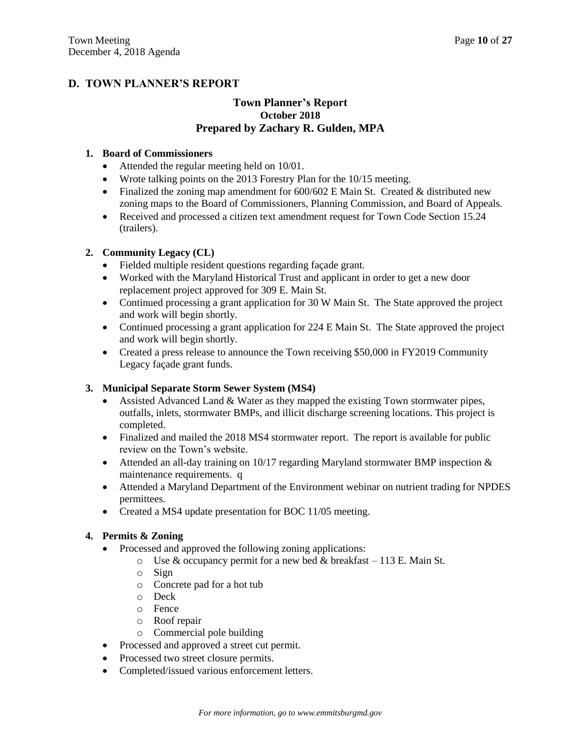# **D. TOWN PLANNER'S REPORT**

# **Town Planner's Report October 2018 Prepared by Zachary R. Gulden, MPA**

## **1. Board of Commissioners**

- Attended the regular meeting held on 10/01.
- Wrote talking points on the 2013 Forestry Plan for the 10/15 meeting.
- Finalized the zoning map amendment for  $600/602$  E Main St. Created & distributed new zoning maps to the Board of Commissioners, Planning Commission, and Board of Appeals.
- Received and processed a citizen text amendment request for Town Code Section 15.24 (trailers).

## **2. Community Legacy (CL)**

- Fielded multiple resident questions regarding façade grant.
- Worked with the Maryland Historical Trust and applicant in order to get a new door replacement project approved for 309 E. Main St.
- Continued processing a grant application for 30 W Main St. The State approved the project and work will begin shortly.
- Continued processing a grant application for 224 E Main St. The State approved the project and work will begin shortly.
- Created a press release to announce the Town receiving \$50,000 in FY2019 Community Legacy façade grant funds.

## **3. Municipal Separate Storm Sewer System (MS4)**

- Assisted Advanced Land & Water as they mapped the existing Town stormwater pipes, outfalls, inlets, stormwater BMPs, and illicit discharge screening locations. This project is completed.
- Finalized and mailed the 2018 MS4 stormwater report. The report is available for public review on the Town's website.
- Attended an all-day training on 10/17 regarding Maryland stormwater BMP inspection  $\&$ maintenance requirements. q
- Attended a Maryland Department of the Environment webinar on nutrient trading for NPDES permittees.
- Created a MS4 update presentation for BOC 11/05 meeting.

## **4. Permits & Zoning**

- Processed and approved the following zoning applications:
	- $\circ$  Use & occupancy permit for a new bed & breakfast 113 E. Main St.
	- o Sign
	- o Concrete pad for a hot tub
	- o Deck
	- o Fence
	- o Roof repair
	- o Commercial pole building
- Processed and approved a street cut permit.
- Processed two street closure permits.
- Completed/issued various enforcement letters.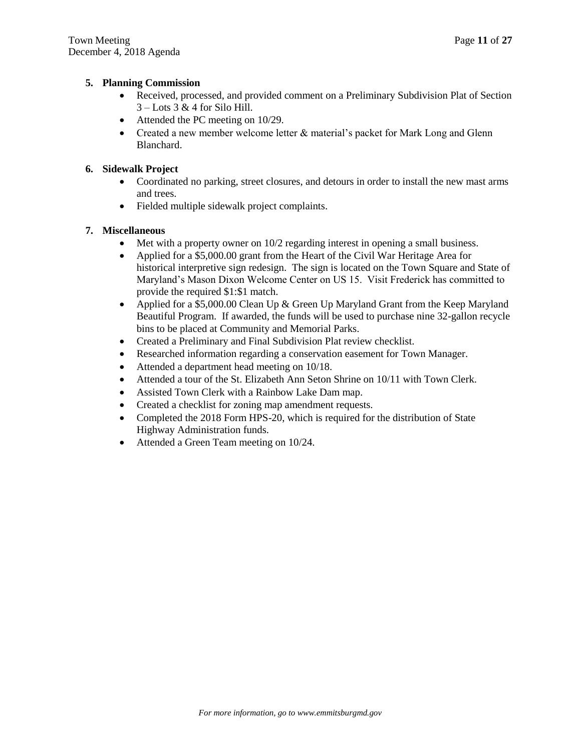## **5. Planning Commission**

- Received, processed, and provided comment on a Preliminary Subdivision Plat of Section 3 – Lots 3 & 4 for Silo Hill.
- Attended the PC meeting on 10/29.
- Created a new member welcome letter & material's packet for Mark Long and Glenn Blanchard.

# **6. Sidewalk Project**

- Coordinated no parking, street closures, and detours in order to install the new mast arms and trees.
- Fielded multiple sidewalk project complaints.

## **7. Miscellaneous**

- $\bullet$  Met with a property owner on  $10/2$  regarding interest in opening a small business.
- Applied for a \$5,000.00 grant from the Heart of the Civil War Heritage Area for historical interpretive sign redesign. The sign is located on the Town Square and State of Maryland's Mason Dixon Welcome Center on US 15. Visit Frederick has committed to provide the required \$1:\$1 match.
- Applied for a \$5,000.00 Clean Up & Green Up Maryland Grant from the Keep Maryland Beautiful Program. If awarded, the funds will be used to purchase nine 32-gallon recycle bins to be placed at Community and Memorial Parks.
- Created a Preliminary and Final Subdivision Plat review checklist.
- Researched information regarding a conservation easement for Town Manager.
- Attended a department head meeting on 10/18.
- Attended a tour of the St. Elizabeth Ann Seton Shrine on 10/11 with Town Clerk.
- Assisted Town Clerk with a Rainbow Lake Dam map.
- Created a checklist for zoning map amendment requests.
- Completed the 2018 Form HPS-20, which is required for the distribution of State Highway Administration funds.
- Attended a Green Team meeting on 10/24.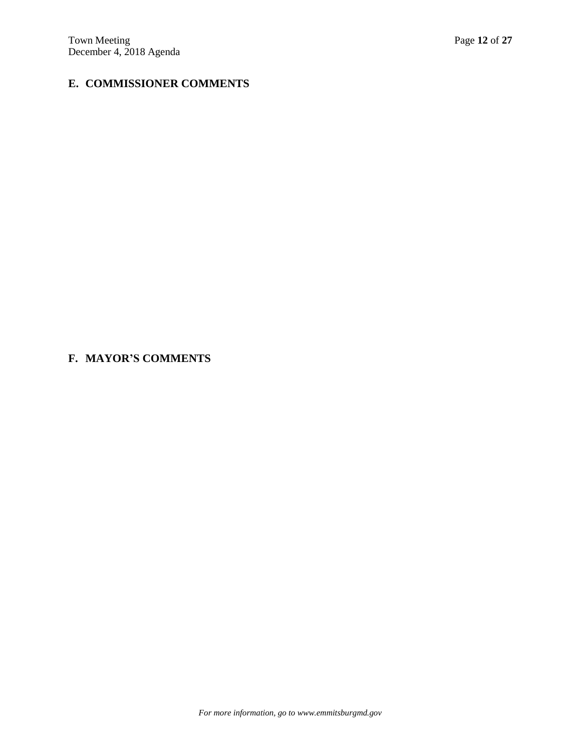# **E. COMMISSIONER COMMENTS**

# **F. MAYOR'S COMMENTS**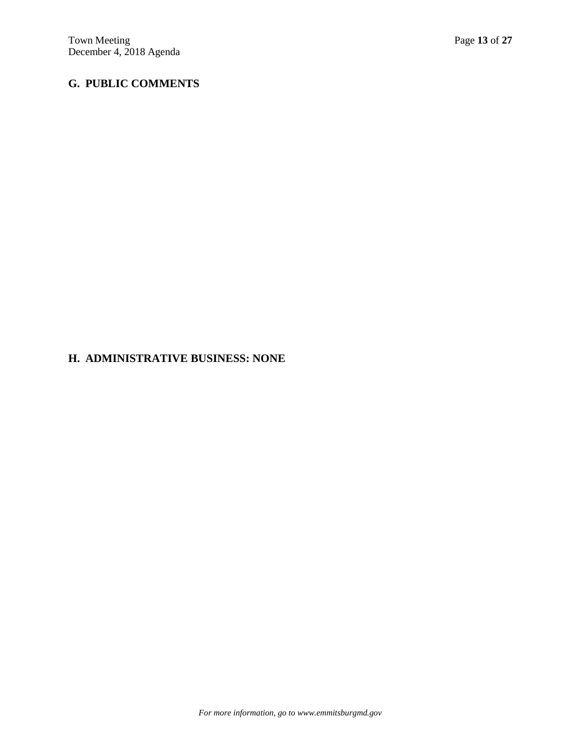# **G. PUBLIC COMMENTS**

# **H. ADMINISTRATIVE BUSINESS: NONE**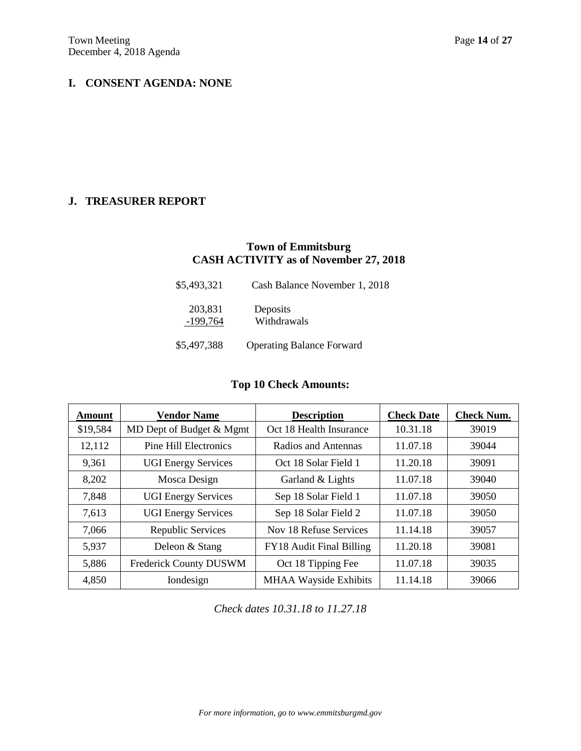# **I. CONSENT AGENDA: NONE**

# **J. TREASURER REPORT**

# **Town of Emmitsburg CASH ACTIVITY as of November 27, 2018**

| \$5,493,321           | Cash Balance November 1, 2018    |  |
|-----------------------|----------------------------------|--|
| 203,831<br>$-199,764$ | Deposits<br>Withdrawals          |  |
| \$5,497,388           | <b>Operating Balance Forward</b> |  |

# **Top 10 Check Amounts:**

| <b>Amount</b> | <b>Vendor Name</b>           | <b>Description</b>           | <b>Check Date</b> | <b>Check Num.</b> |
|---------------|------------------------------|------------------------------|-------------------|-------------------|
| \$19,584      | MD Dept of Budget & Mgmt     | Oct 18 Health Insurance      | 10.31.18          | 39019             |
| 12,112        | <b>Pine Hill Electronics</b> | Radios and Antennas          | 11.07.18          | 39044             |
| 9,361         | <b>UGI Energy Services</b>   | Oct 18 Solar Field 1         | 11.20.18          | 39091             |
| 8,202         | Mosca Design                 | Garland & Lights             | 11.07.18          | 39040             |
| 7,848         | <b>UGI Energy Services</b>   | Sep 18 Solar Field 1         | 11.07.18          | 39050             |
| 7,613         | <b>UGI Energy Services</b>   | Sep 18 Solar Field 2         | 11.07.18          | 39050             |
| 7,066         | Republic Services            | Nov 18 Refuse Services       | 11.14.18          | 39057             |
| 5,937         | Deleon & Stang               | FY18 Audit Final Billing     | 11.20.18          | 39081             |
| 5,886         | Frederick County DUSWM       | Oct 18 Tipping Fee           | 11.07.18          | 39035             |
| 4,850         | Iondesign                    | <b>MHAA Wayside Exhibits</b> | 11.14.18          | 39066             |

*Check dates 10.31.18 to 11.27.18*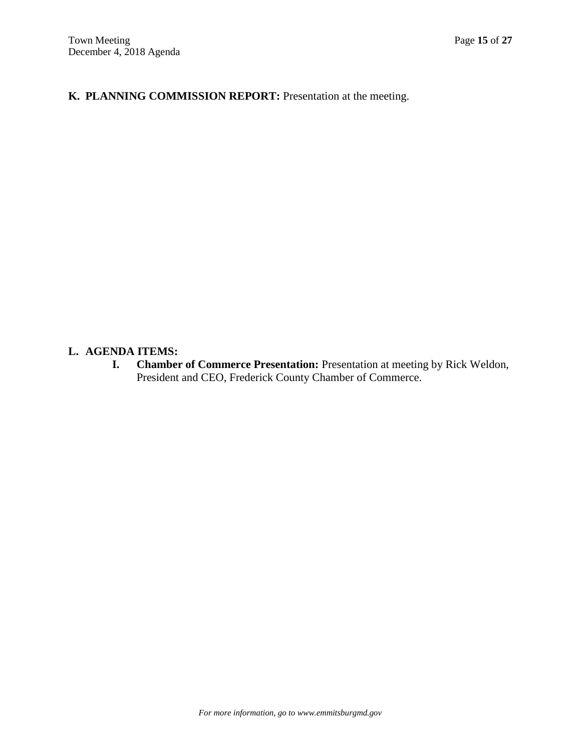**K. PLANNING COMMISSION REPORT:** Presentation at the meeting.

# **L. AGENDA ITEMS:**

**I. Chamber of Commerce Presentation:** Presentation at meeting by Rick Weldon, President and CEO, Frederick County Chamber of Commerce.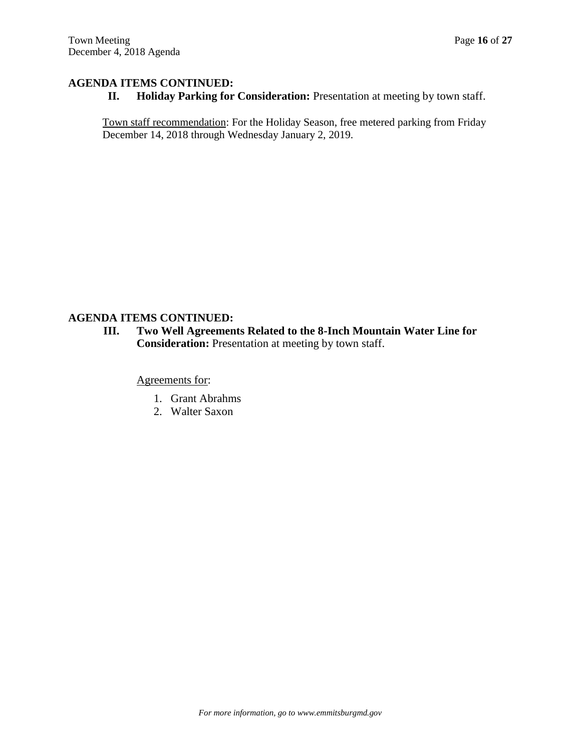**II. Holiday Parking for Consideration:** Presentation at meeting by town staff.

Town staff recommendation: For the Holiday Season, free metered parking from Friday December 14, 2018 through Wednesday January 2, 2019.

## **AGENDA ITEMS CONTINUED:**

**III. Two Well Agreements Related to the 8-Inch Mountain Water Line for Consideration:** Presentation at meeting by town staff.

Agreements for:

- 1. Grant Abrahms
- 2. Walter Saxon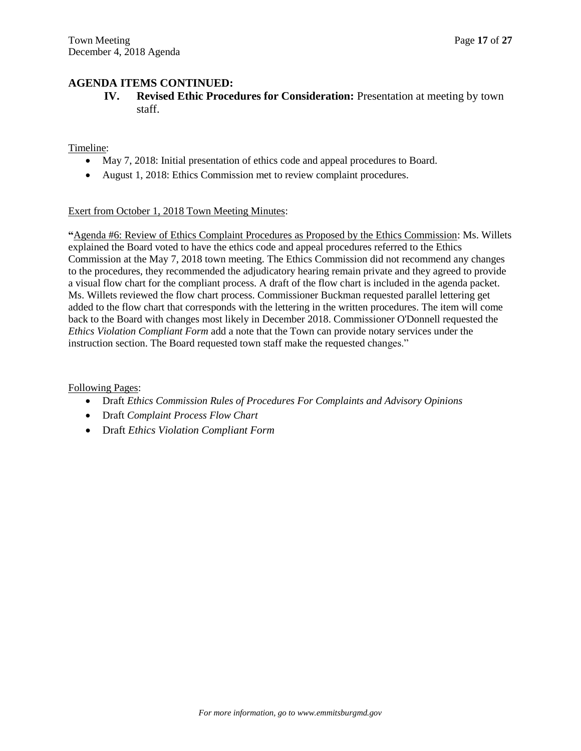**IV. Revised Ethic Procedures for Consideration:** Presentation at meeting by town staff.

Timeline:

- May 7, 2018: Initial presentation of ethics code and appeal procedures to Board.
- August 1, 2018: Ethics Commission met to review complaint procedures.

## Exert from October 1, 2018 Town Meeting Minutes:

**"**Agenda #6: Review of Ethics Complaint Procedures as Proposed by the Ethics Commission: Ms. Willets explained the Board voted to have the ethics code and appeal procedures referred to the Ethics Commission at the May 7, 2018 town meeting. The Ethics Commission did not recommend any changes to the procedures, they recommended the adjudicatory hearing remain private and they agreed to provide a visual flow chart for the compliant process. A draft of the flow chart is included in the agenda packet. Ms. Willets reviewed the flow chart process. Commissioner Buckman requested parallel lettering get added to the flow chart that corresponds with the lettering in the written procedures. The item will come back to the Board with changes most likely in December 2018. Commissioner O'Donnell requested the *Ethics Violation Compliant Form* add a note that the Town can provide notary services under the instruction section. The Board requested town staff make the requested changes."

Following Pages:

- Draft *Ethics Commission Rules of Procedures For Complaints and Advisory Opinions*
- Draft *Complaint Process Flow Chart*
- Draft *Ethics Violation Compliant Form*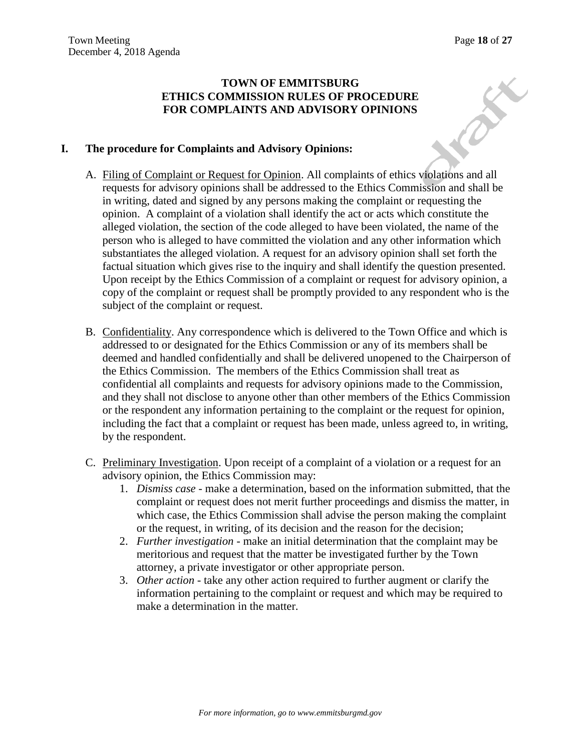REA

# **TOWN OF EMMITSBURG ETHICS COMMISSION RULES OF PROCEDURE FOR COMPLAINTS AND ADVISORY OPINIONS**

# **I. The procedure for Complaints and Advisory Opinions:**

- A. Filing of Complaint or Request for Opinion. All complaints of ethics violations and all requests for advisory opinions shall be addressed to the Ethics Commission and shall be in writing, dated and signed by any persons making the complaint or requesting the opinion. A complaint of a violation shall identify the act or acts which constitute the alleged violation, the section of the code alleged to have been violated, the name of the person who is alleged to have committed the violation and any other information which substantiates the alleged violation. A request for an advisory opinion shall set forth the factual situation which gives rise to the inquiry and shall identify the question presented. Upon receipt by the Ethics Commission of a complaint or request for advisory opinion, a copy of the complaint or request shall be promptly provided to any respondent who is the subject of the complaint or request.
- B. Confidentiality. Any correspondence which is delivered to the Town Office and which is addressed to or designated for the Ethics Commission or any of its members shall be deemed and handled confidentially and shall be delivered unopened to the Chairperson of the Ethics Commission. The members of the Ethics Commission shall treat as confidential all complaints and requests for advisory opinions made to the Commission, and they shall not disclose to anyone other than other members of the Ethics Commission or the respondent any information pertaining to the complaint or the request for opinion, including the fact that a complaint or request has been made, unless agreed to, in writing, by the respondent.
- C. Preliminary Investigation. Upon receipt of a complaint of a violation or a request for an advisory opinion, the Ethics Commission may:
	- 1. *Dismiss case* make a determination, based on the information submitted, that the complaint or request does not merit further proceedings and dismiss the matter, in which case, the Ethics Commission shall advise the person making the complaint or the request, in writing, of its decision and the reason for the decision;
	- 2. *Further investigation* make an initial determination that the complaint may be meritorious and request that the matter be investigated further by the Town attorney, a private investigator or other appropriate person.
	- 3. *Other action* take any other action required to further augment or clarify the information pertaining to the complaint or request and which may be required to make a determination in the matter.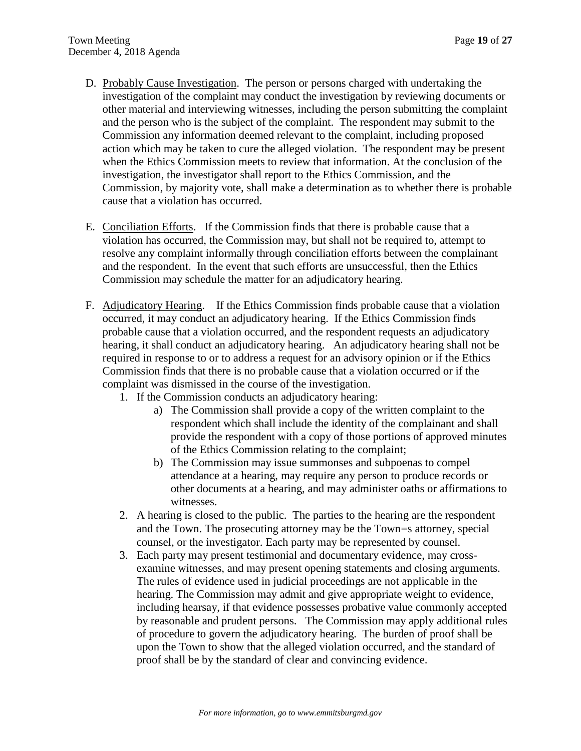- D. Probably Cause Investigation. The person or persons charged with undertaking the investigation of the complaint may conduct the investigation by reviewing documents or other material and interviewing witnesses, including the person submitting the complaint and the person who is the subject of the complaint. The respondent may submit to the Commission any information deemed relevant to the complaint, including proposed action which may be taken to cure the alleged violation. The respondent may be present when the Ethics Commission meets to review that information. At the conclusion of the investigation, the investigator shall report to the Ethics Commission, and the Commission, by majority vote, shall make a determination as to whether there is probable cause that a violation has occurred.
- E. Conciliation Efforts. If the Commission finds that there is probable cause that a violation has occurred, the Commission may, but shall not be required to, attempt to resolve any complaint informally through conciliation efforts between the complainant and the respondent. In the event that such efforts are unsuccessful, then the Ethics Commission may schedule the matter for an adjudicatory hearing.
- F. Adjudicatory Hearing. If the Ethics Commission finds probable cause that a violation occurred, it may conduct an adjudicatory hearing. If the Ethics Commission finds probable cause that a violation occurred, and the respondent requests an adjudicatory hearing, it shall conduct an adjudicatory hearing. An adjudicatory hearing shall not be required in response to or to address a request for an advisory opinion or if the Ethics Commission finds that there is no probable cause that a violation occurred or if the complaint was dismissed in the course of the investigation.
	- 1. If the Commission conducts an adjudicatory hearing:
		- a) The Commission shall provide a copy of the written complaint to the respondent which shall include the identity of the complainant and shall provide the respondent with a copy of those portions of approved minutes of the Ethics Commission relating to the complaint;
		- b) The Commission may issue summonses and subpoenas to compel attendance at a hearing, may require any person to produce records or other documents at a hearing, and may administer oaths or affirmations to witnesses.
	- 2. A hearing is closed to the public. The parties to the hearing are the respondent and the Town. The prosecuting attorney may be the Town=s attorney, special counsel, or the investigator. Each party may be represented by counsel.
	- 3. Each party may present testimonial and documentary evidence, may crossexamine witnesses, and may present opening statements and closing arguments. The rules of evidence used in judicial proceedings are not applicable in the hearing. The Commission may admit and give appropriate weight to evidence, including hearsay, if that evidence possesses probative value commonly accepted by reasonable and prudent persons. The Commission may apply additional rules of procedure to govern the adjudicatory hearing. The burden of proof shall be upon the Town to show that the alleged violation occurred, and the standard of proof shall be by the standard of clear and convincing evidence.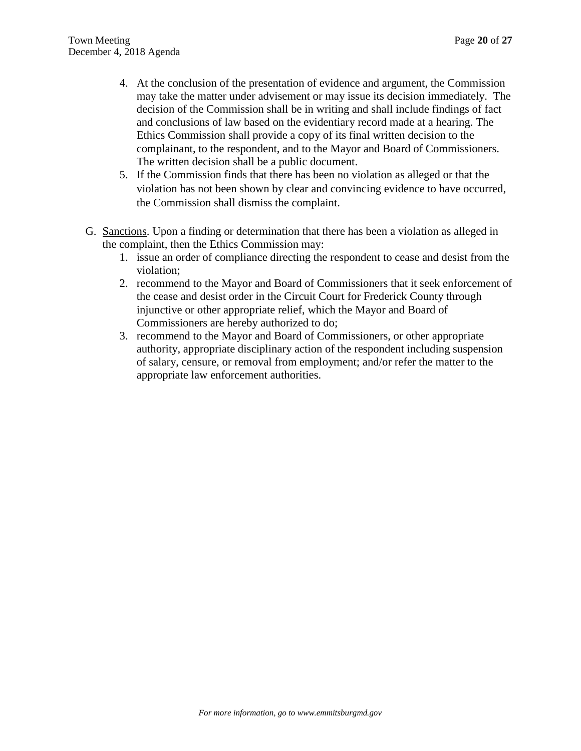- 4. At the conclusion of the presentation of evidence and argument, the Commission may take the matter under advisement or may issue its decision immediately. The decision of the Commission shall be in writing and shall include findings of fact and conclusions of law based on the evidentiary record made at a hearing. The Ethics Commission shall provide a copy of its final written decision to the complainant, to the respondent, and to the Mayor and Board of Commissioners. The written decision shall be a public document.
- 5. If the Commission finds that there has been no violation as alleged or that the violation has not been shown by clear and convincing evidence to have occurred, the Commission shall dismiss the complaint.
- G. Sanctions. Upon a finding or determination that there has been a violation as alleged in the complaint, then the Ethics Commission may:
	- 1. issue an order of compliance directing the respondent to cease and desist from the violation;
	- 2. recommend to the Mayor and Board of Commissioners that it seek enforcement of the cease and desist order in the Circuit Court for Frederick County through injunctive or other appropriate relief, which the Mayor and Board of Commissioners are hereby authorized to do;
	- 3. recommend to the Mayor and Board of Commissioners, or other appropriate authority, appropriate disciplinary action of the respondent including suspension of salary, censure, or removal from employment; and/or refer the matter to the appropriate law enforcement authorities.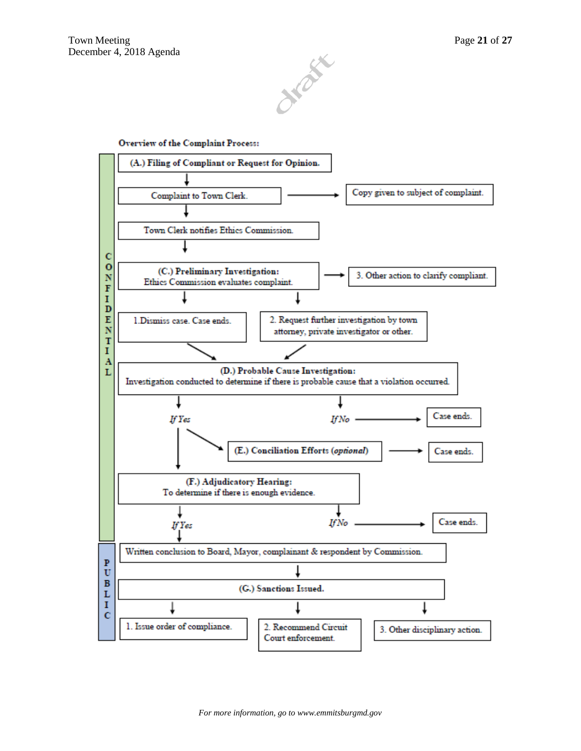

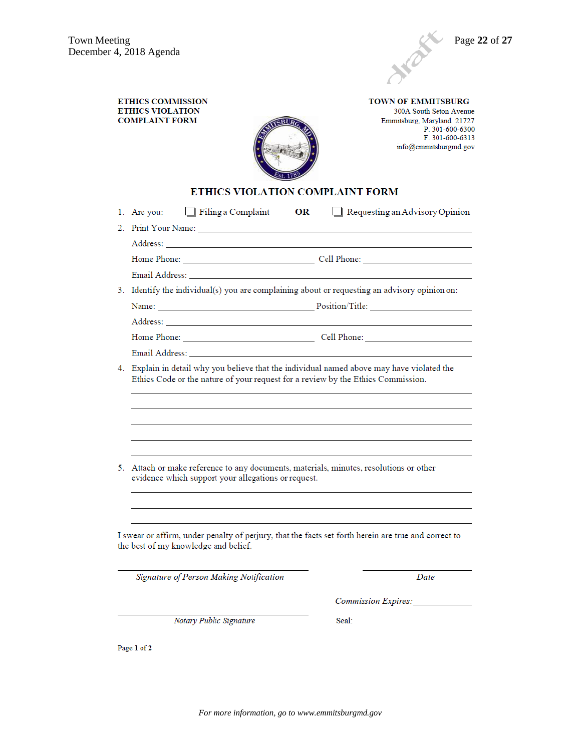

**ETHICS COMMISSION ETHICS VIOLATION COMPLAINT FORM** 

**TOWN OF EMMITSBURG** 300A South Seton Avenue Emmitsburg, Maryland 21727 P. 301-600-6300<br>F. 301-600-6313 info@emmitsburgmd.gov



## ETHICS VIOLATION COMPLAINT FORM

| $\Box$ Filing a Complaint<br>1. Are you:                                                                                                                                                                                       | Requesting an Advisory Opinion<br>OR |
|--------------------------------------------------------------------------------------------------------------------------------------------------------------------------------------------------------------------------------|--------------------------------------|
|                                                                                                                                                                                                                                |                                      |
|                                                                                                                                                                                                                                |                                      |
|                                                                                                                                                                                                                                |                                      |
| Email Address: University of the Contractor of the Contractor of the Contractor of the Contractor of the Contractor of the Contractor of the Contractor of the Contractor of the Contractor of the Contractor of the Contracto |                                      |
| 3. Identify the individual(s) you are complaining about or requesting an advisory opinion on:                                                                                                                                  |                                      |
|                                                                                                                                                                                                                                |                                      |
|                                                                                                                                                                                                                                |                                      |
|                                                                                                                                                                                                                                |                                      |
| Email Address: North and South Address:                                                                                                                                                                                        |                                      |
| 4. Explain in detail why you believe that the individual named above may have violated the<br>Ethics Code or the nature of your request for a review by the Ethics Commission.                                                 |                                      |
|                                                                                                                                                                                                                                |                                      |
|                                                                                                                                                                                                                                |                                      |
|                                                                                                                                                                                                                                |                                      |
|                                                                                                                                                                                                                                |                                      |
| 5. Attach or make reference to any documents, materials, minutes, resolutions or other                                                                                                                                         |                                      |
| evidence which support your allegations or request.                                                                                                                                                                            |                                      |
|                                                                                                                                                                                                                                |                                      |
|                                                                                                                                                                                                                                |                                      |
| I swear or affirm, under penalty of perjury, that the facts set forth herein are true and correct to<br>the best of my knowledge and belief.                                                                                   |                                      |
| Signature of Person Making Notification                                                                                                                                                                                        | Date                                 |
|                                                                                                                                                                                                                                | Commission Expires:                  |
| Notary Public Signature                                                                                                                                                                                                        | Seal:                                |

Page 1 of 2

*For more information, go to www.emmitsburgmd.gov*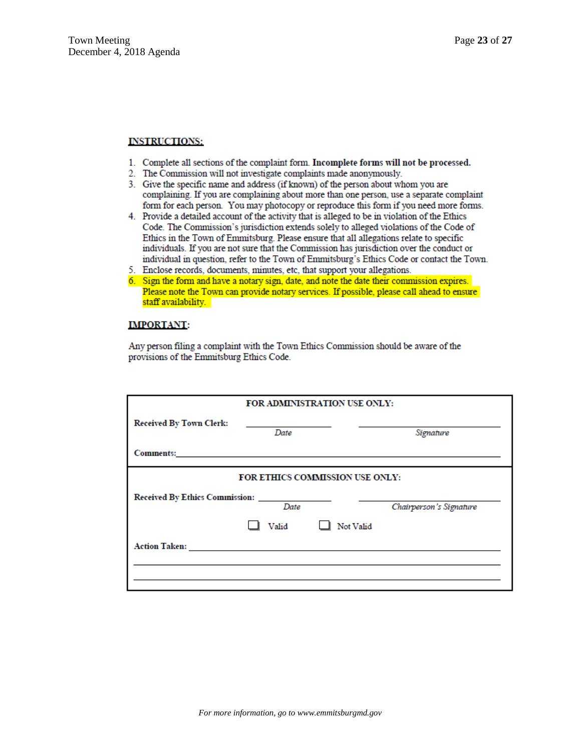#### **INSTRUCTIONS:**

- 1. Complete all sections of the complaint form. Incomplete forms will not be processed.
- 2. The Commission will not investigate complaints made anonymously.
- 3. Give the specific name and address (if known) of the person about whom you are complaining. If you are complaining about more than one person, use a separate complaint form for each person. You may photocopy or reproduce this form if you need more forms.
- 4. Provide a detailed account of the activity that is alleged to be in violation of the Ethics Code. The Commission's jurisdiction extends solely to alleged violations of the Code of Ethics in the Town of Emmitsburg. Please ensure that all allegations relate to specific individuals. If you are not sure that the Commission has jurisdiction over the conduct or individual in question, refer to the Town of Emmitsburg's Ethics Code or contact the Town.
- 5. Enclose records, documents, minutes, etc, that support your allegations.
- 6. Sign the form and have a notary sign, date, and note the date their commission expires. Please note the Town can provide notary services. If possible, please call ahead to ensure staff availability.

#### **IMPORTANT:**

Any person filing a complaint with the Town Ethics Commission should be aware of the provisions of the Emmitsburg Ethics Code.

| FOR ADMINISTRATION USE ONLY:                                                                    |                                                      |  |           |
|-------------------------------------------------------------------------------------------------|------------------------------------------------------|--|-----------|
| <b>Received By Town Clerk:</b>                                                                  | the control of the control of the control of<br>Date |  | Signature |
| Comments: comments:                                                                             |                                                      |  |           |
| <b>FOR ETHICS COMMISSION USE ONLY:</b><br>Date<br>Chairperson's Signature<br>Not Valid<br>Valid |                                                      |  |           |
|                                                                                                 |                                                      |  |           |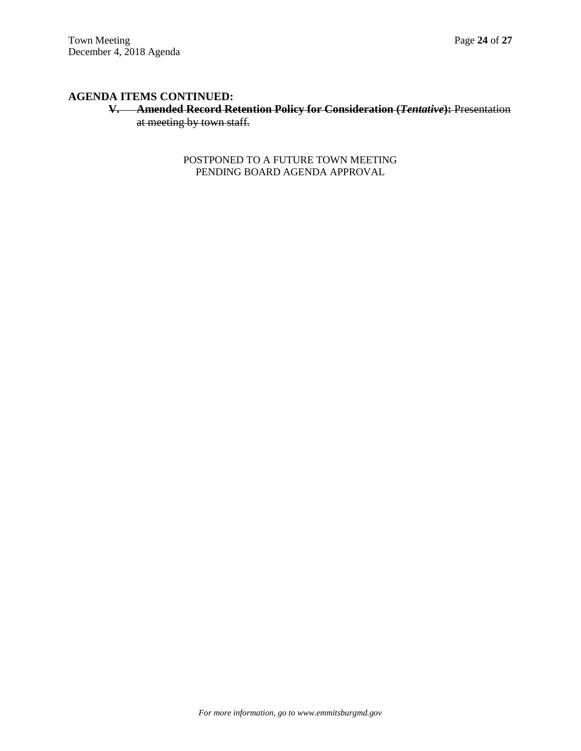# **V. Amended Record Retention Policy for Consideration (***Tentative***):** Presentation at meeting by town staff.

POSTPONED TO A FUTURE TOWN MEETING PENDING BOARD AGENDA APPROVAL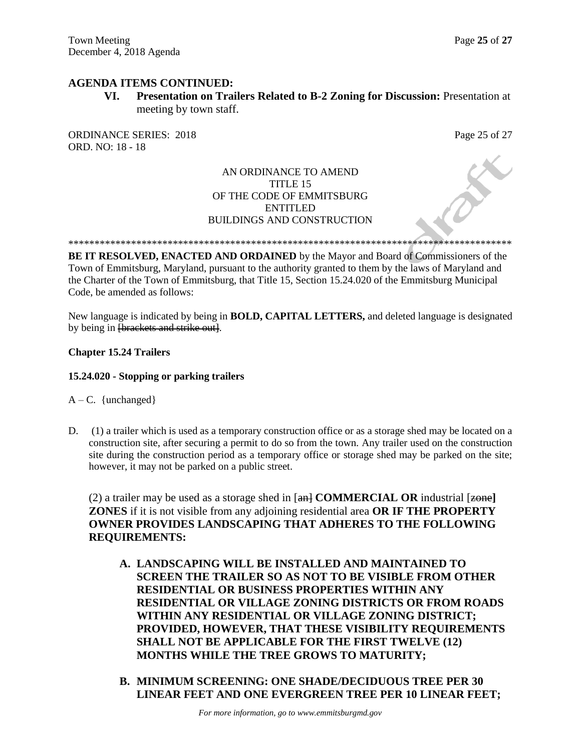**VI. Presentation on Trailers Related to B-2 Zoning for Discussion:** Presentation at meeting by town staff.

ORDINANCE SERIES: 2018 Page 25 of 27 ORD. NO: 18 - 18

# AN ORDINANCE TO AMEND TITLE 15 OF THE CODE OF EMMITSBURG ENTITLED BUILDINGS AND CONSTRUCTION

\*\*\*\*\*\*\*\*\*\*\*\*\*\*\*\*\*\*\*\*\*\*\*\*\*\*\*\*\*\*\*\*\*\*\*\*\*\*\*\*\*\*\*\*\*\*\*\*\*\*\*\*\*\*\*\*\*\*\*\*\*\*\*\*\*\*\*\*\*\*\*\*\*\*\*\*\*\*\*\*\*\*\*\*\*

**BE IT RESOLVED, ENACTED AND ORDAINED** by the Mayor and Board of Commissioners of the Town of Emmitsburg, Maryland, pursuant to the authority granted to them by the laws of Maryland and the Charter of the Town of Emmitsburg, that Title 15, Section 15.24.020 of the Emmitsburg Municipal Code, be amended as follows:

New language is indicated by being in **BOLD, CAPITAL LETTERS,** and deleted language is designated by being in <del>[brackets and strike out]</del>.

## **Chapter 15.24 Trailers**

## **15.24.020 - Stopping or parking trailers**

 $A - C$ . {unchanged}

D. (1) a trailer which is used as a temporary construction office or as a storage shed may be located on a construction site, after securing a permit to do so from the town. Any trailer used on the construction site during the construction period as a temporary office or storage shed may be parked on the site; however, it may not be parked on a public street.

(2) a trailer may be used as a storage shed in  $\left[\frac{an}{2} \text{COMMERICAL OR } \text{industrial } \left[\frac{zone}{2}\right]\right]$ **ZONES** if it is not visible from any adjoining residential area **OR IF THE PROPERTY OWNER PROVIDES LANDSCAPING THAT ADHERES TO THE FOLLOWING REQUIREMENTS:**

- **A. LANDSCAPING WILL BE INSTALLED AND MAINTAINED TO SCREEN THE TRAILER SO AS NOT TO BE VISIBLE FROM OTHER RESIDENTIAL OR BUSINESS PROPERTIES WITHIN ANY RESIDENTIAL OR VILLAGE ZONING DISTRICTS OR FROM ROADS WITHIN ANY RESIDENTIAL OR VILLAGE ZONING DISTRICT; PROVIDED, HOWEVER, THAT THESE VISIBILITY REQUIREMENTS SHALL NOT BE APPLICABLE FOR THE FIRST TWELVE (12) MONTHS WHILE THE TREE GROWS TO MATURITY;**
- **B. MINIMUM SCREENING: ONE SHADE/DECIDUOUS TREE PER 30 LINEAR FEET AND ONE EVERGREEN TREE PER 10 LINEAR FEET;**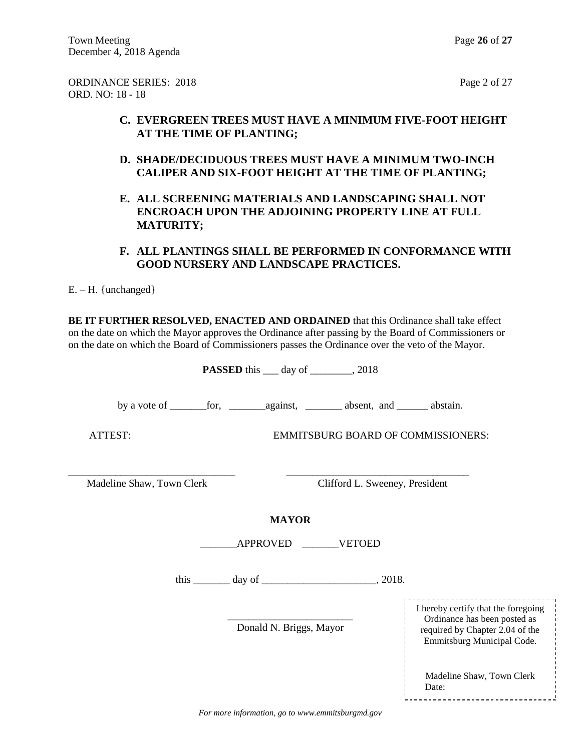ORDINANCE SERIES: 2018 Page 2 of 27 ORD. NO: 18 - 18

# **C. EVERGREEN TREES MUST HAVE A MINIMUM FIVE-FOOT HEIGHT AT THE TIME OF PLANTING;**

- **D. SHADE/DECIDUOUS TREES MUST HAVE A MINIMUM TWO-INCH CALIPER AND SIX-FOOT HEIGHT AT THE TIME OF PLANTING;**
- **E. ALL SCREENING MATERIALS AND LANDSCAPING SHALL NOT ENCROACH UPON THE ADJOINING PROPERTY LINE AT FULL MATURITY;**

# **F. ALL PLANTINGS SHALL BE PERFORMED IN CONFORMANCE WITH GOOD NURSERY AND LANDSCAPE PRACTICES.**

 $E. - H.$  {unchanged}

**BE IT FURTHER RESOLVED, ENACTED AND ORDAINED** that this Ordinance shall take effect on the date on which the Mayor approves the Ordinance after passing by the Board of Commissioners or on the date on which the Board of Commissioners passes the Ordinance over the veto of the Mayor.

| <b>PASSED</b> this $\_\_\_$ day of $\_\_\_\_$ , 2018 |                                |                                                                                                                                      |  |
|------------------------------------------------------|--------------------------------|--------------------------------------------------------------------------------------------------------------------------------------|--|
|                                                      |                                |                                                                                                                                      |  |
| ATTEST:<br><b>EMMITSBURG BOARD OF COMMISSIONERS:</b> |                                |                                                                                                                                      |  |
| Madeline Shaw, Town Clerk                            | Clifford L. Sweeney, President |                                                                                                                                      |  |
|                                                      | <b>MAYOR</b>                   |                                                                                                                                      |  |
| APPROVED VETOED                                      |                                |                                                                                                                                      |  |
| this $\_\_\_\_$ day of $\_\_\_\_\_\_\_$ , 2018.      |                                |                                                                                                                                      |  |
|                                                      | Donald N. Briggs, Mayor        | I hereby certify that the foregoing<br>Ordinance has been posted as<br>required by Chapter 2.04 of the<br>Emmitsburg Municipal Code. |  |
|                                                      |                                | Madeline Shaw, Town Clerk<br>Date:                                                                                                   |  |